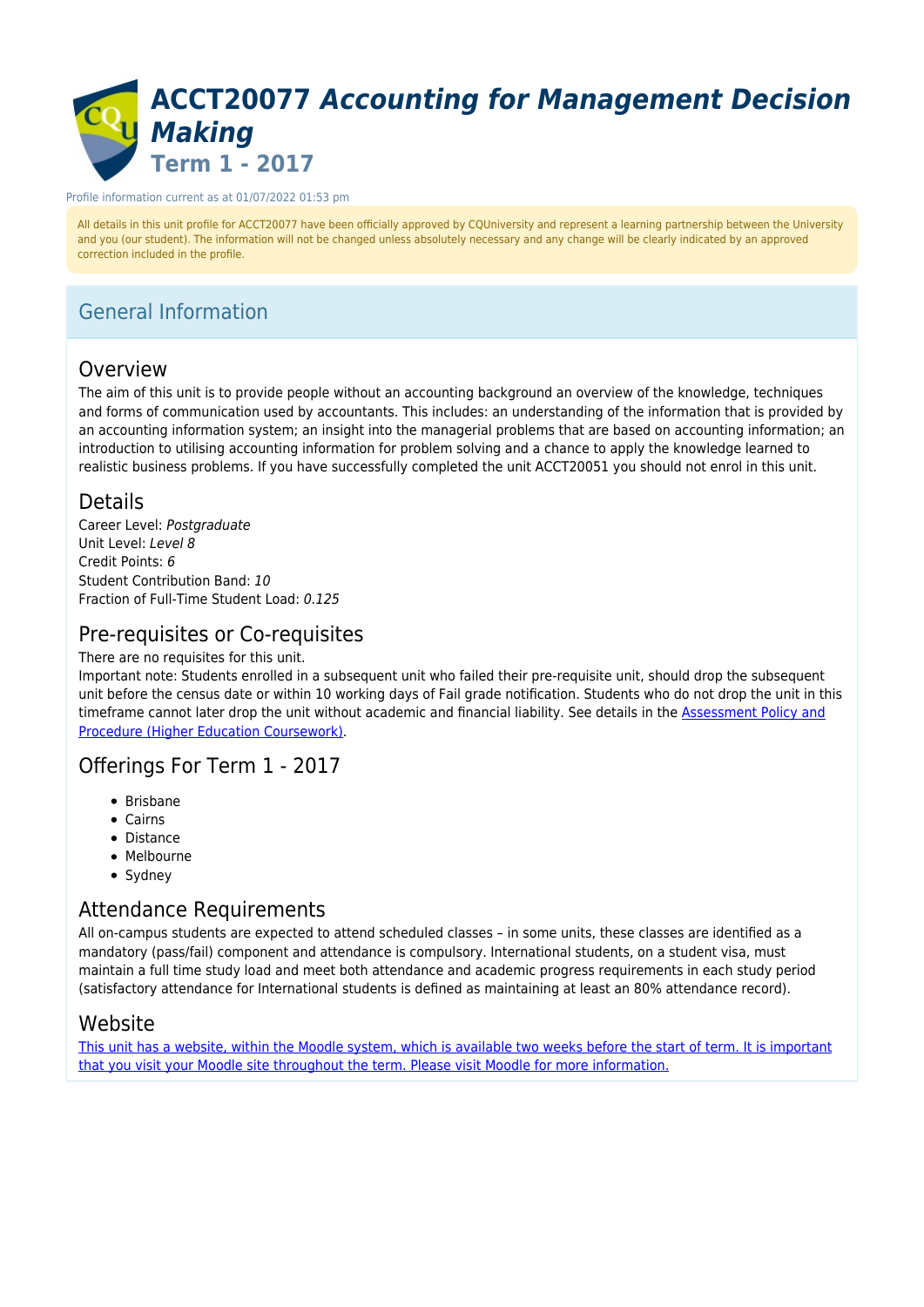# **ACCT20077** *Accounting for Management Decision Making* **Term 1 - 2017**

#### Profile information current as at 01/07/2022 01:53 pm

All details in this unit profile for ACCT20077 have been officially approved by CQUniversity and represent a learning partnership between the University and you (our student). The information will not be changed unless absolutely necessary and any change will be clearly indicated by an approved correction included in the profile.

## General Information

### Overview

The aim of this unit is to provide people without an accounting background an overview of the knowledge, techniques and forms of communication used by accountants. This includes: an understanding of the information that is provided by an accounting information system; an insight into the managerial problems that are based on accounting information; an introduction to utilising accounting information for problem solving and a chance to apply the knowledge learned to realistic business problems. If you have successfully completed the unit ACCT20051 you should not enrol in this unit.

### Details

Career Level: Postaraduate Unit Level: Level 8 Credit Points: 6 Student Contribution Band: 10 Fraction of Full-Time Student Load: 0.125

### Pre-requisites or Co-requisites

There are no requisites for this unit.

Important note: Students enrolled in a subsequent unit who failed their pre-requisite unit, should drop the subsequent unit before the census date or within 10 working days of Fail grade notification. Students who do not drop the unit in this timeframe cannot later drop the unit without academic and financial liability. See details in the [Assessment Policy and](https://www.cqu.edu.au/policy) [Procedure \(Higher Education Coursework\)](https://www.cqu.edu.au/policy).

### Offerings For Term 1 - 2017

- Brisbane
- Cairns
- Distance
- Melbourne
- Sydney

## Attendance Requirements

All on-campus students are expected to attend scheduled classes – in some units, these classes are identified as a mandatory (pass/fail) component and attendance is compulsory. International students, on a student visa, must maintain a full time study load and meet both attendance and academic progress requirements in each study period (satisfactory attendance for International students is defined as maintaining at least an 80% attendance record).

### Website

[This unit has a website, within the Moodle system, which is available two weeks before the start of term. It is important](https://moodle.cqu.edu.au) [that you visit your Moodle site throughout the term. Please visit Moodle for more information.](https://moodle.cqu.edu.au)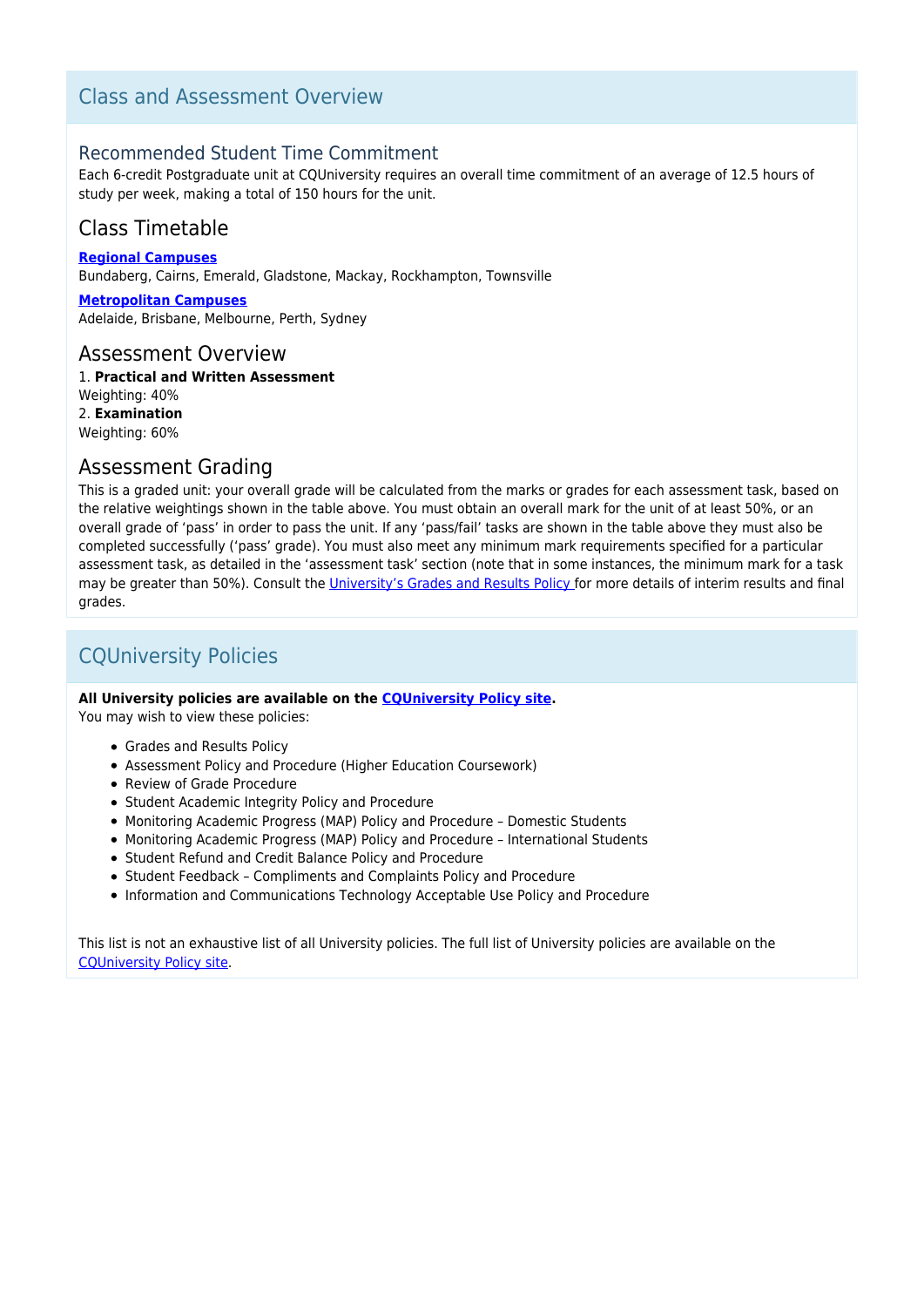### Class and Assessment Overview

### Recommended Student Time Commitment

Each 6-credit Postgraduate unit at CQUniversity requires an overall time commitment of an average of 12.5 hours of study per week, making a total of 150 hours for the unit.

## Class Timetable

**[Regional Campuses](https://handbook.cqu.edu.au/facet/timetables)**

Bundaberg, Cairns, Emerald, Gladstone, Mackay, Rockhampton, Townsville

**[Metropolitan Campuses](https://handbook.cqu.edu.au/facet/timetables)** Adelaide, Brisbane, Melbourne, Perth, Sydney

### Assessment Overview

1. **Practical and Written Assessment** Weighting: 40% 2. **Examination** Weighting: 60%

### Assessment Grading

This is a graded unit: your overall grade will be calculated from the marks or grades for each assessment task, based on the relative weightings shown in the table above. You must obtain an overall mark for the unit of at least 50%, or an overall grade of 'pass' in order to pass the unit. If any 'pass/fail' tasks are shown in the table above they must also be completed successfully ('pass' grade). You must also meet any minimum mark requirements specified for a particular assessment task, as detailed in the 'assessment task' section (note that in some instances, the minimum mark for a task may be greater than 50%). Consult the [University's Grades and Results Policy](https://www.cqu.edu.au/policy) for more details of interim results and final grades.

## CQUniversity Policies

#### **All University policies are available on the [CQUniversity Policy site.](https://policy.cqu.edu.au/)**

You may wish to view these policies:

- Grades and Results Policy
- Assessment Policy and Procedure (Higher Education Coursework)
- Review of Grade Procedure
- Student Academic Integrity Policy and Procedure
- Monitoring Academic Progress (MAP) Policy and Procedure Domestic Students
- Monitoring Academic Progress (MAP) Policy and Procedure International Students
- Student Refund and Credit Balance Policy and Procedure
- Student Feedback Compliments and Complaints Policy and Procedure
- Information and Communications Technology Acceptable Use Policy and Procedure

This list is not an exhaustive list of all University policies. The full list of University policies are available on the [CQUniversity Policy site.](https://policy.cqu.edu.au/)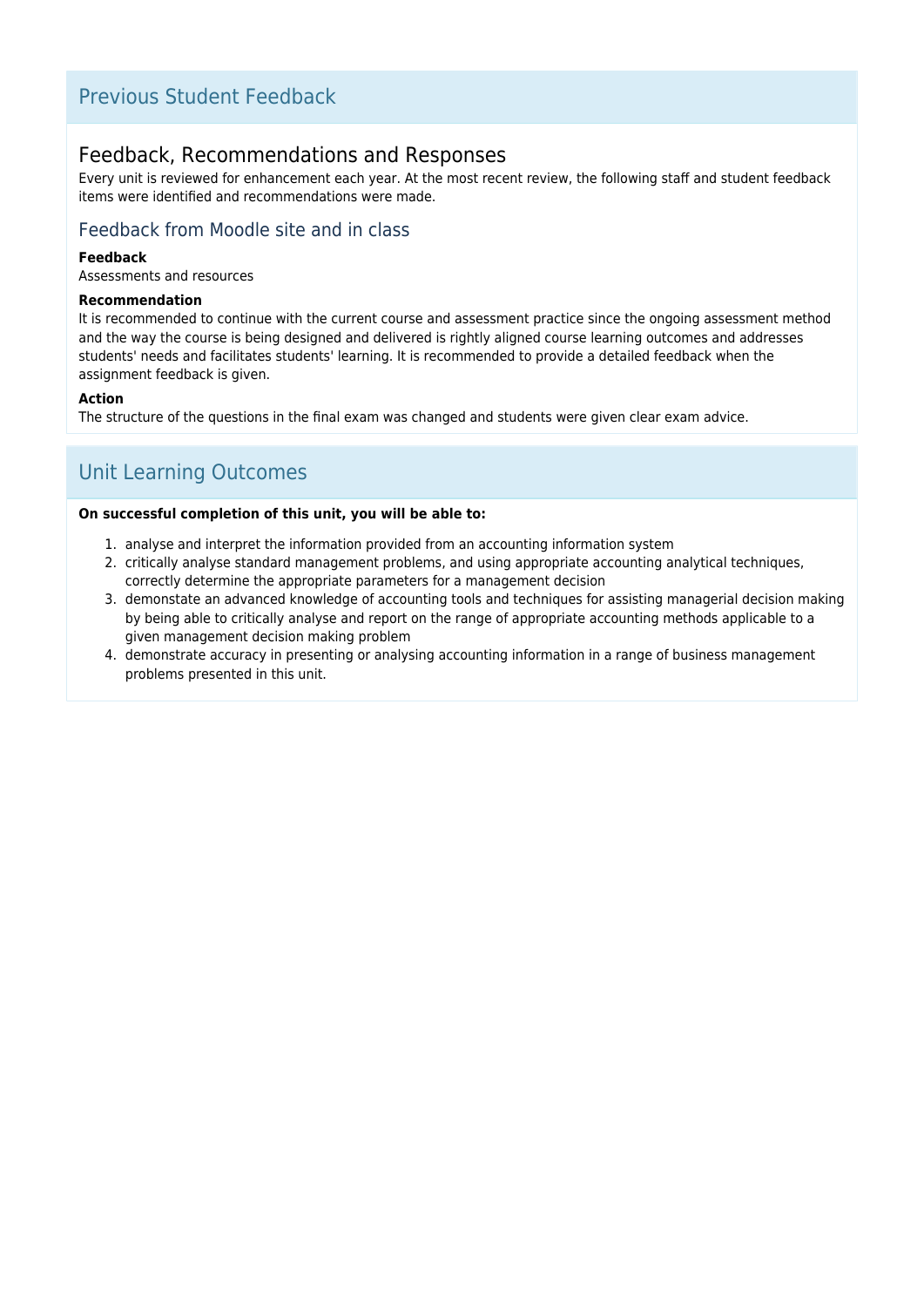## Previous Student Feedback

### Feedback, Recommendations and Responses

Every unit is reviewed for enhancement each year. At the most recent review, the following staff and student feedback items were identified and recommendations were made.

### Feedback from Moodle site and in class

### **Feedback**

Assessments and resources

#### **Recommendation**

It is recommended to continue with the current course and assessment practice since the ongoing assessment method and the way the course is being designed and delivered is rightly aligned course learning outcomes and addresses students' needs and facilitates students' learning. It is recommended to provide a detailed feedback when the assignment feedback is given.

### **Action**

The structure of the questions in the final exam was changed and students were given clear exam advice.

## Unit Learning Outcomes

#### **On successful completion of this unit, you will be able to:**

- 1. analyse and interpret the information provided from an accounting information system
- 2. critically analyse standard management problems, and using appropriate accounting analytical techniques, correctly determine the appropriate parameters for a management decision
- 3. demonstate an advanced knowledge of accounting tools and techniques for assisting managerial decision making by being able to critically analyse and report on the range of appropriate accounting methods applicable to a given management decision making problem
- 4. demonstrate accuracy in presenting or analysing accounting information in a range of business management problems presented in this unit.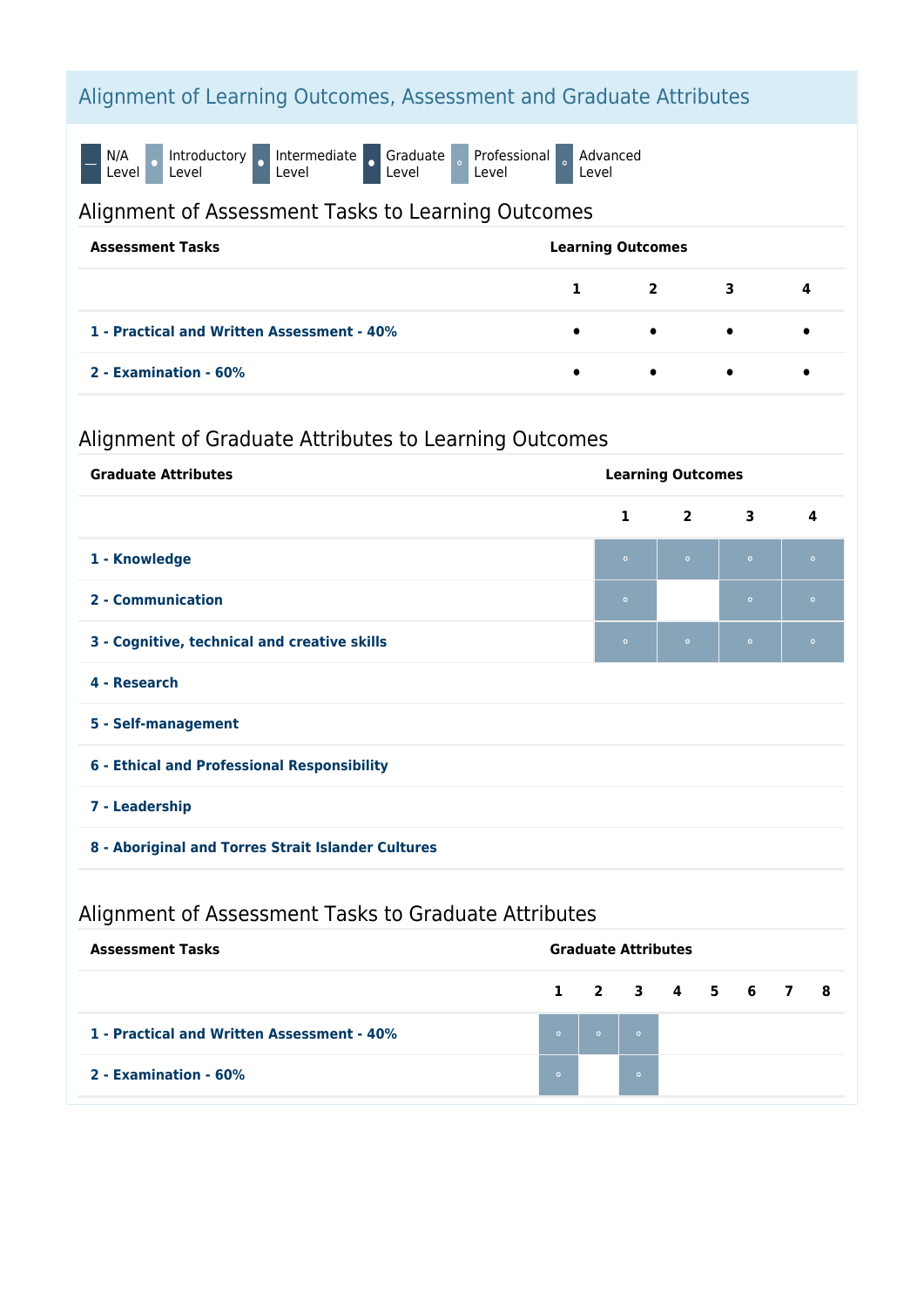## Alignment of Learning Outcomes, Assessment and Graduate Attributes

N/A<br>Level O Introductory o Intermediate o Graduate Level Professional Level Advanced Level

### Alignment of Assessment Tasks to Learning Outcomes

| <b>Assessment Tasks</b>                    | <b>Learning Outcomes</b> |                         |           |           |
|--------------------------------------------|--------------------------|-------------------------|-----------|-----------|
|                                            | $\mathbf{1}$             | $\overline{\mathbf{a}}$ | 3         | - 4       |
| 1 - Practical and Written Assessment - 40% | $\bullet$                | $\bullet$               | $\bullet$ | $\bullet$ |
| 2 - Examination - 60%                      | $\bullet$                | $\bullet$               | $\bullet$ |           |

## Alignment of Graduate Attributes to Learning Outcomes

| <b>Graduate Attributes</b>                         | <b>Learning Outcomes</b> |                |                         |           |  |
|----------------------------------------------------|--------------------------|----------------|-------------------------|-----------|--|
|                                                    | $\mathbf{1}$             | $\overline{2}$ | $\overline{\mathbf{3}}$ | 4         |  |
| 1 - Knowledge                                      | $\bullet$                | $\bullet$      | $\circ$                 | $\bullet$ |  |
| 2 - Communication                                  | $\bullet$                |                | $\circ$                 | $\bullet$ |  |
| 3 - Cognitive, technical and creative skills       | $\circ$                  | $\bullet$      | $\circ$                 | $\circ$   |  |
| 4 - Research                                       |                          |                |                         |           |  |
| 5 - Self-management                                |                          |                |                         |           |  |
| 6 - Ethical and Professional Responsibility        |                          |                |                         |           |  |
| 7 - Leadership                                     |                          |                |                         |           |  |
| 8 - Aboriginal and Torres Strait Islander Cultures |                          |                |                         |           |  |
|                                                    |                          |                |                         |           |  |

## Alignment of Assessment Tasks to Graduate Attributes

| <b>Assessment Tasks</b>                    | <b>Graduate Attributes</b> |         |                 |  |  |  |
|--------------------------------------------|----------------------------|---------|-----------------|--|--|--|
|                                            |                            |         | 1 2 3 4 5 6 7 8 |  |  |  |
| 1 - Practical and Written Assessment - 40% | $\bullet$                  | $\circ$ | $\sim$ 0        |  |  |  |
| 2 - Examination - 60%                      | $\circ$                    |         | $\circ$         |  |  |  |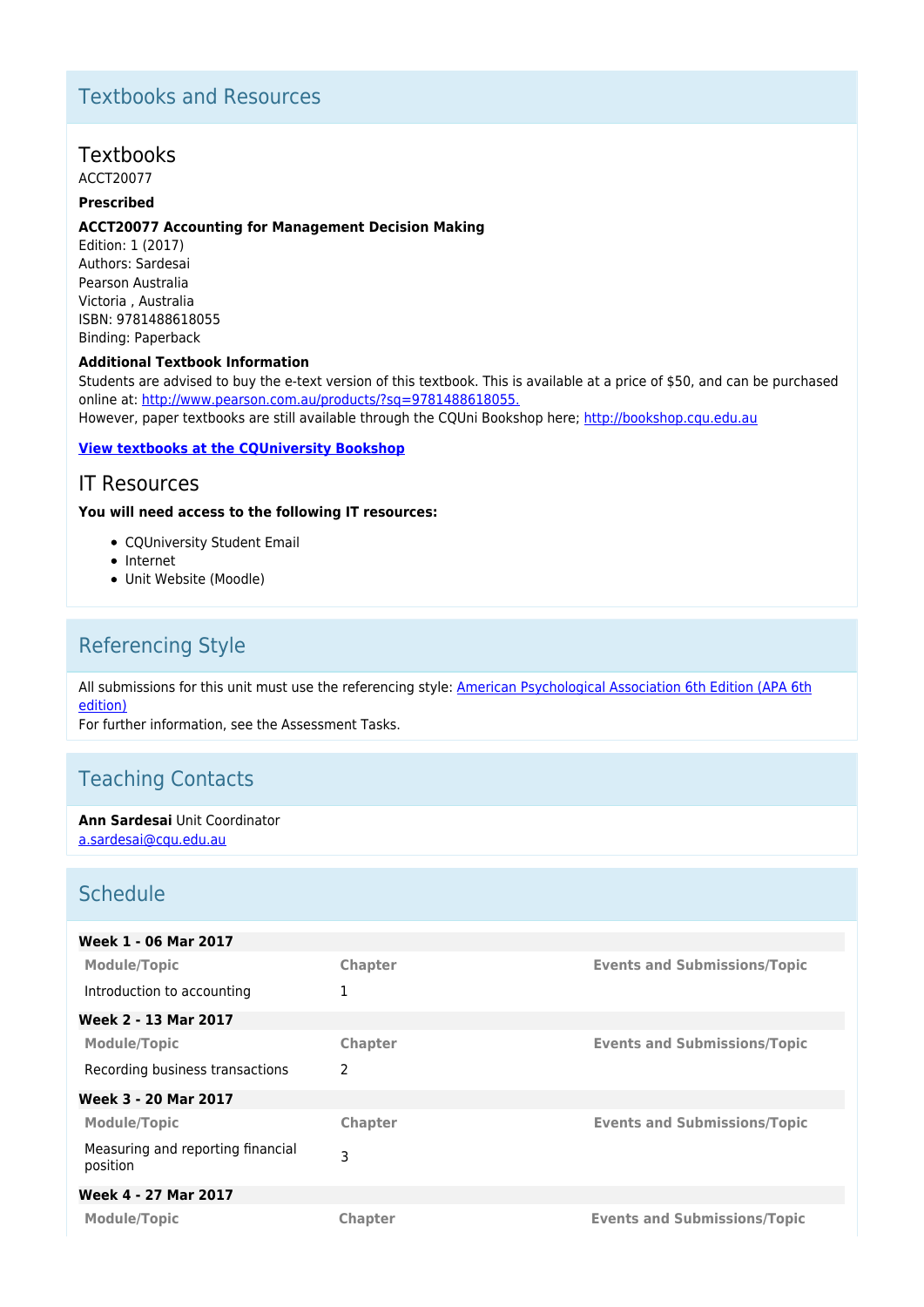## Textbooks and Resources

### **Textbooks**

ACCT20077

### **Prescribed**

#### **ACCT20077 Accounting for Management Decision Making**

Edition: 1 (2017) Authors: Sardesai Pearson Australia Victoria , Australia ISBN: 9781488618055 Binding: Paperback

#### **Additional Textbook Information**

Students are advised to buy the e-text version of this textbook. This is available at a price of \$50, and can be purchased online at: [http://www.pearson.com.au/products/?sq=9781488618055.](http://www.pearson.com.au/products/?sq=9781488613685)

However, paper textbooks are still available through the CQUni Bookshop here;<http://bookshop.cqu.edu.au>

### **[View textbooks at the CQUniversity Bookshop](https://bookshop.cqu.edu.au/)**

### IT Resources

### **You will need access to the following IT resources:**

- CQUniversity Student Email
- Internet
- Unit Website (Moodle)

## Referencing Style

All submissions for this unit must use the referencing style: [American Psychological Association 6th Edition \(APA 6th](https://sportal.cqu.edu.au/__data/assets/pdf_file/0026/107684/APA_Referencing_Guide-2019.pdf) [edition\)](https://sportal.cqu.edu.au/__data/assets/pdf_file/0026/107684/APA_Referencing_Guide-2019.pdf)

For further information, see the Assessment Tasks.

## Teaching Contacts

**Ann Sardesai** Unit Coordinator [a.sardesai@cqu.edu.au](mailto:a.sardesai@cqu.edu.au)

## Schedule

| Week 1 - 06 Mar 2017                          |                |                                     |
|-----------------------------------------------|----------------|-------------------------------------|
| <b>Module/Topic</b>                           | Chapter        | <b>Events and Submissions/Topic</b> |
| Introduction to accounting                    | 1              |                                     |
| Week 2 - 13 Mar 2017                          |                |                                     |
| <b>Module/Topic</b>                           | Chapter        | <b>Events and Submissions/Topic</b> |
| Recording business transactions               | 2              |                                     |
| Week 3 - 20 Mar 2017                          |                |                                     |
| <b>Module/Topic</b>                           | Chapter        | <b>Events and Submissions/Topic</b> |
| Measuring and reporting financial<br>position | 3              |                                     |
| Week 4 - 27 Mar 2017                          |                |                                     |
| <b>Module/Topic</b>                           | <b>Chapter</b> | <b>Events and Submissions/Topic</b> |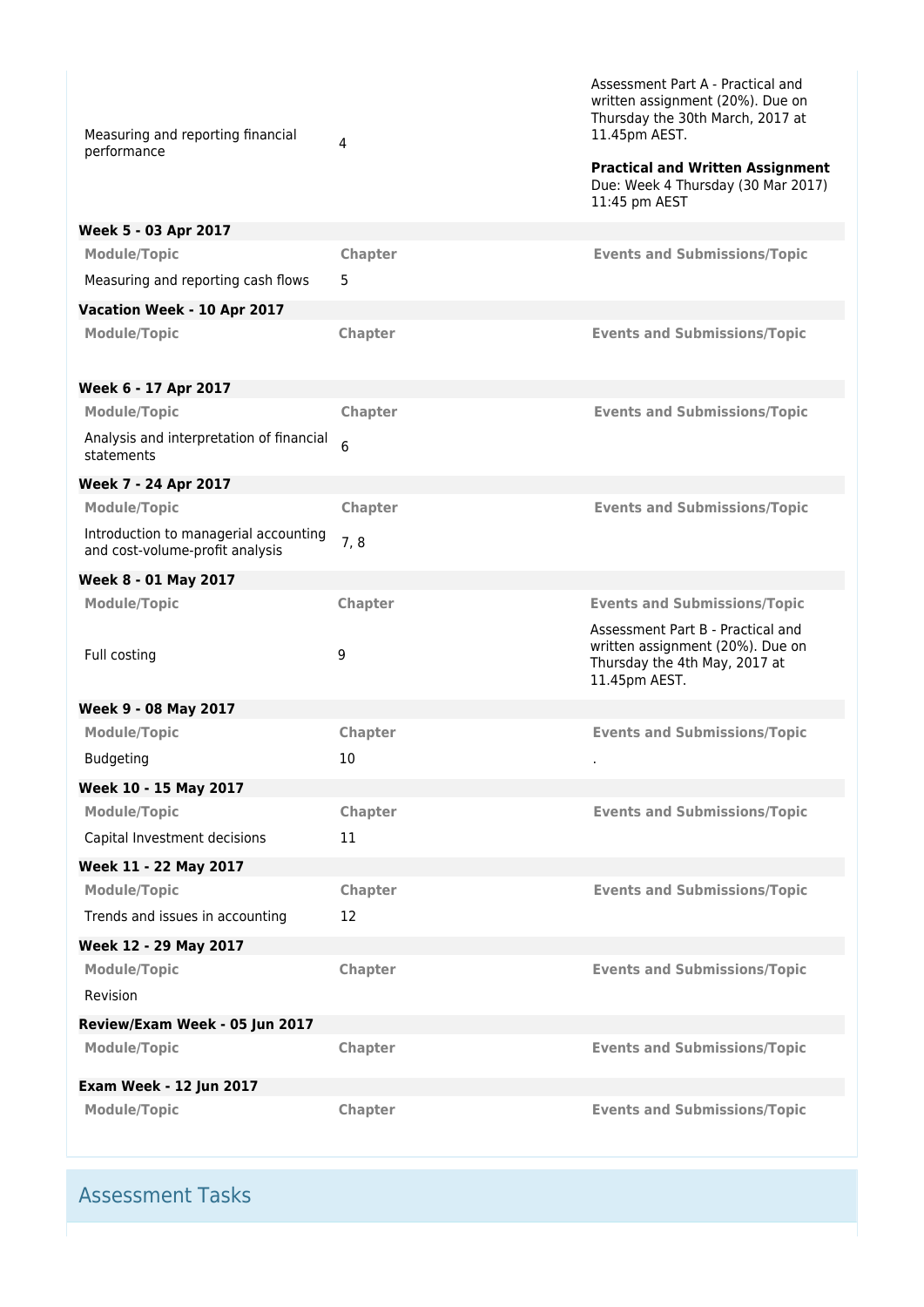| Measuring and reporting financial<br>performance                         | 4       | Assessment Part A - Practical and<br>written assignment (20%). Due on<br>Thursday the 30th March, 2017 at<br>11.45pm AEST.<br><b>Practical and Written Assignment</b><br>Due: Week 4 Thursday (30 Mar 2017)<br>11:45 pm AEST |
|--------------------------------------------------------------------------|---------|------------------------------------------------------------------------------------------------------------------------------------------------------------------------------------------------------------------------------|
| Week 5 - 03 Apr 2017                                                     |         |                                                                                                                                                                                                                              |
| <b>Module/Topic</b>                                                      | Chapter | <b>Events and Submissions/Topic</b>                                                                                                                                                                                          |
| Measuring and reporting cash flows                                       | 5       |                                                                                                                                                                                                                              |
| Vacation Week - 10 Apr 2017                                              |         |                                                                                                                                                                                                                              |
| <b>Module/Topic</b>                                                      | Chapter | <b>Events and Submissions/Topic</b>                                                                                                                                                                                          |
| Week 6 - 17 Apr 2017                                                     |         |                                                                                                                                                                                                                              |
| <b>Module/Topic</b>                                                      | Chapter | <b>Events and Submissions/Topic</b>                                                                                                                                                                                          |
| Analysis and interpretation of financial<br>statements                   | 6       |                                                                                                                                                                                                                              |
| Week 7 - 24 Apr 2017                                                     |         |                                                                                                                                                                                                                              |
| <b>Module/Topic</b>                                                      | Chapter | <b>Events and Submissions/Topic</b>                                                                                                                                                                                          |
| Introduction to managerial accounting<br>and cost-volume-profit analysis | 7,8     |                                                                                                                                                                                                                              |
| Week 8 - 01 May 2017                                                     |         |                                                                                                                                                                                                                              |
| <b>Module/Topic</b>                                                      | Chapter | <b>Events and Submissions/Topic</b>                                                                                                                                                                                          |
| Full costing                                                             | 9       | Assessment Part B - Practical and<br>written assignment (20%). Due on<br>Thursday the 4th May, 2017 at<br>11.45pm AEST.                                                                                                      |
| Week 9 - 08 May 2017                                                     |         |                                                                                                                                                                                                                              |
| <b>Module/Topic</b>                                                      | Chapter | <b>Events and Submissions/Topic</b>                                                                                                                                                                                          |
| <b>Budgeting</b>                                                         | 10      |                                                                                                                                                                                                                              |
| Week 10 - 15 May 2017                                                    |         |                                                                                                                                                                                                                              |
| <b>Module/Topic</b>                                                      | Chapter | <b>Events and Submissions/Topic</b>                                                                                                                                                                                          |
| Capital Investment decisions                                             | 11      |                                                                                                                                                                                                                              |
| Week 11 - 22 May 2017                                                    |         |                                                                                                                                                                                                                              |
| <b>Module/Topic</b>                                                      | Chapter | <b>Events and Submissions/Topic</b>                                                                                                                                                                                          |
| Trends and issues in accounting                                          | 12      |                                                                                                                                                                                                                              |
| Week 12 - 29 May 2017                                                    |         |                                                                                                                                                                                                                              |
| <b>Module/Topic</b>                                                      | Chapter | <b>Events and Submissions/Topic</b>                                                                                                                                                                                          |
| Revision                                                                 |         |                                                                                                                                                                                                                              |
| Review/Exam Week - 05 Jun 2017                                           |         |                                                                                                                                                                                                                              |
| <b>Module/Topic</b>                                                      | Chapter | <b>Events and Submissions/Topic</b>                                                                                                                                                                                          |
| <b>Exam Week - 12 Jun 2017</b>                                           |         |                                                                                                                                                                                                                              |
| <b>Module/Topic</b>                                                      | Chapter | <b>Events and Submissions/Topic</b>                                                                                                                                                                                          |

Assessment Tasks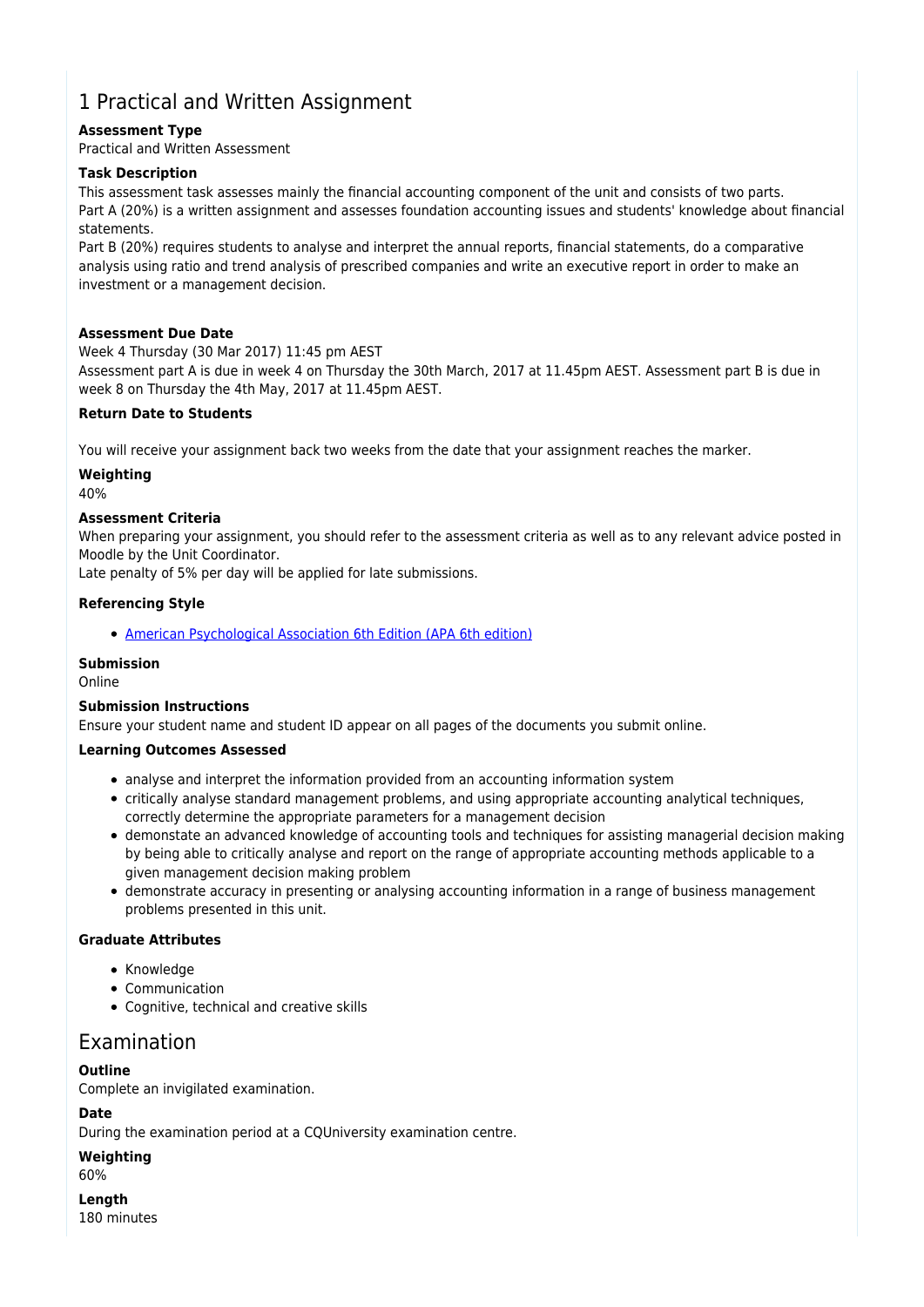## 1 Practical and Written Assignment

### **Assessment Type**

Practical and Written Assessment

### **Task Description**

This assessment task assesses mainly the financial accounting component of the unit and consists of two parts. Part A (20%) is a written assignment and assesses foundation accounting issues and students' knowledge about financial statements.

Part B (20%) requires students to analyse and interpret the annual reports, financial statements, do a comparative analysis using ratio and trend analysis of prescribed companies and write an executive report in order to make an investment or a management decision.

### **Assessment Due Date**

Week 4 Thursday (30 Mar 2017) 11:45 pm AEST Assessment part A is due in week 4 on Thursday the 30th March, 2017 at 11.45pm AEST. Assessment part B is due in week 8 on Thursday the 4th May, 2017 at 11.45pm AEST.

### **Return Date to Students**

You will receive your assignment back two weeks from the date that your assignment reaches the marker.

### **Weighting**

40%

### **Assessment Criteria**

When preparing your assignment, you should refer to the assessment criteria as well as to any relevant advice posted in Moodle by the Unit Coordinator.

Late penalty of 5% per day will be applied for late submissions.

### **Referencing Style**

[American Psychological Association 6th Edition \(APA 6th edition\)](https://sportal.cqu.edu.au/__data/assets/pdf_file/0026/107684/APA_Referencing_Guide-2019.pdf)

### **Submission**

Online

#### **Submission Instructions**

Ensure your student name and student ID appear on all pages of the documents you submit online.

### **Learning Outcomes Assessed**

- analyse and interpret the information provided from an accounting information system
- critically analyse standard management problems, and using appropriate accounting analytical techniques, correctly determine the appropriate parameters for a management decision
- demonstate an advanced knowledge of accounting tools and techniques for assisting managerial decision making by being able to critically analyse and report on the range of appropriate accounting methods applicable to a given management decision making problem
- demonstrate accuracy in presenting or analysing accounting information in a range of business management problems presented in this unit.

#### **Graduate Attributes**

- Knowledge
- Communication
- Cognitive, technical and creative skills

### Examination

### **Outline**

Complete an invigilated examination.

### **Date**

During the examination period at a CQUniversity examination centre.

**Weighting**

60%

**Length** 180 minutes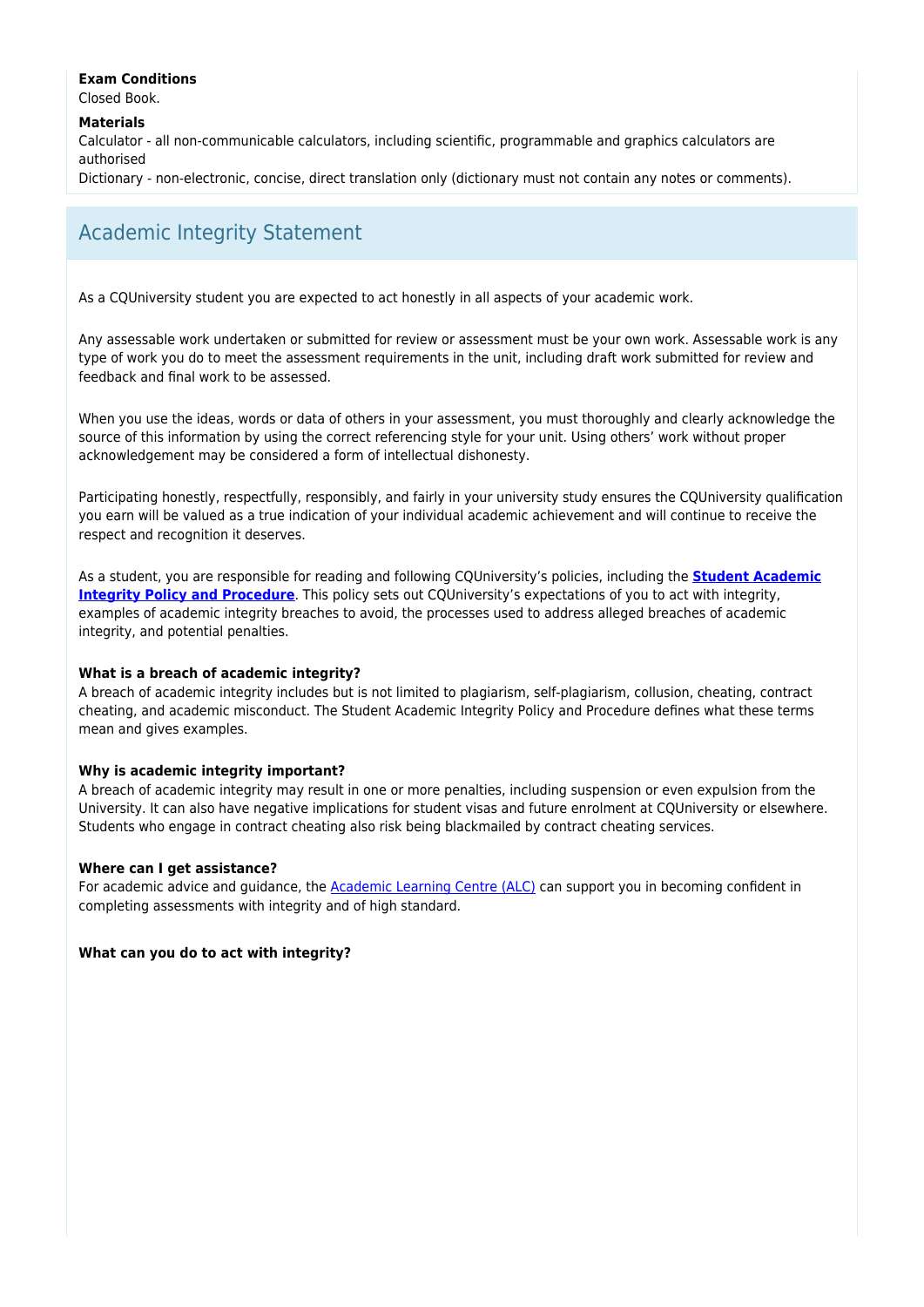### **Exam Conditions**

Closed Book.

**Materials**

Calculator - all non-communicable calculators, including scientific, programmable and graphics calculators are authorised

Dictionary - non-electronic, concise, direct translation only (dictionary must not contain any notes or comments).

## Academic Integrity Statement

As a CQUniversity student you are expected to act honestly in all aspects of your academic work.

Any assessable work undertaken or submitted for review or assessment must be your own work. Assessable work is any type of work you do to meet the assessment requirements in the unit, including draft work submitted for review and feedback and final work to be assessed.

When you use the ideas, words or data of others in your assessment, you must thoroughly and clearly acknowledge the source of this information by using the correct referencing style for your unit. Using others' work without proper acknowledgement may be considered a form of intellectual dishonesty.

Participating honestly, respectfully, responsibly, and fairly in your university study ensures the CQUniversity qualification you earn will be valued as a true indication of your individual academic achievement and will continue to receive the respect and recognition it deserves.

As a student, you are responsible for reading and following CQUniversity's policies, including the **[Student Academic](https://www.cqu.edu.au/policy/sharepoint-document-download?file_uri={BE8380F3-F86D-4C55-AC0D-84A81EAFD6A2}/Student%20Academic%20Integrity%20Policy%20and%20Procedure%20(formerly%20known%20as%20the%20Academic%20Misconduct%20Procedure).pdf) [Integrity Policy and Procedure](https://www.cqu.edu.au/policy/sharepoint-document-download?file_uri={BE8380F3-F86D-4C55-AC0D-84A81EAFD6A2}/Student%20Academic%20Integrity%20Policy%20and%20Procedure%20(formerly%20known%20as%20the%20Academic%20Misconduct%20Procedure).pdf)**. This policy sets out CQUniversity's expectations of you to act with integrity, examples of academic integrity breaches to avoid, the processes used to address alleged breaches of academic integrity, and potential penalties.

### **What is a breach of academic integrity?**

A breach of academic integrity includes but is not limited to plagiarism, self-plagiarism, collusion, cheating, contract cheating, and academic misconduct. The Student Academic Integrity Policy and Procedure defines what these terms mean and gives examples.

### **Why is academic integrity important?**

A breach of academic integrity may result in one or more penalties, including suspension or even expulsion from the University. It can also have negative implications for student visas and future enrolment at CQUniversity or elsewhere. Students who engage in contract cheating also risk being blackmailed by contract cheating services.

#### **Where can I get assistance?**

For academic advice and guidance, the [Academic Learning Centre \(ALC\)](https://www.cqu.edu.au/student-life/academic-learning-centre) can support you in becoming confident in completing assessments with integrity and of high standard.

### **What can you do to act with integrity?**